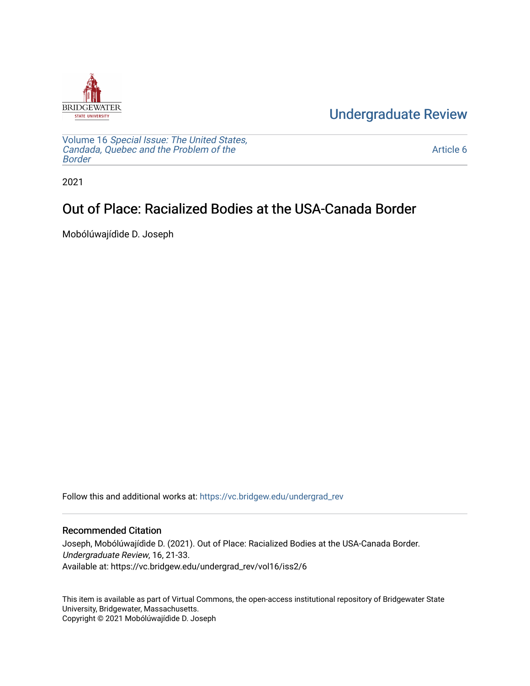

[Undergraduate Review](https://vc.bridgew.edu/undergrad_rev) 

Volume 16 [Special Issue: The United States,](https://vc.bridgew.edu/undergrad_rev/vol16)  [Candada, Quebec and the Problem of the](https://vc.bridgew.edu/undergrad_rev/vol16)  [Border](https://vc.bridgew.edu/undergrad_rev/vol16)

[Article 6](https://vc.bridgew.edu/undergrad_rev/vol16/iss2/6) 

2021

## Out of Place: Racialized Bodies at the USA-Canada Border

Mobólúwajídìde D. Joseph

Follow this and additional works at: [https://vc.bridgew.edu/undergrad\\_rev](https://vc.bridgew.edu/undergrad_rev?utm_source=vc.bridgew.edu%2Fundergrad_rev%2Fvol16%2Fiss2%2F6&utm_medium=PDF&utm_campaign=PDFCoverPages)

## Recommended Citation

Joseph, Mobólúwajídìde D. (2021). Out of Place: Racialized Bodies at the USA-Canada Border. Undergraduate Review, 16, 21-33. Available at: https://vc.bridgew.edu/undergrad\_rev/vol16/iss2/6

This item is available as part of Virtual Commons, the open-access institutional repository of Bridgewater State University, Bridgewater, Massachusetts. Copyright © 2021 Mobólúwajídìde D. Joseph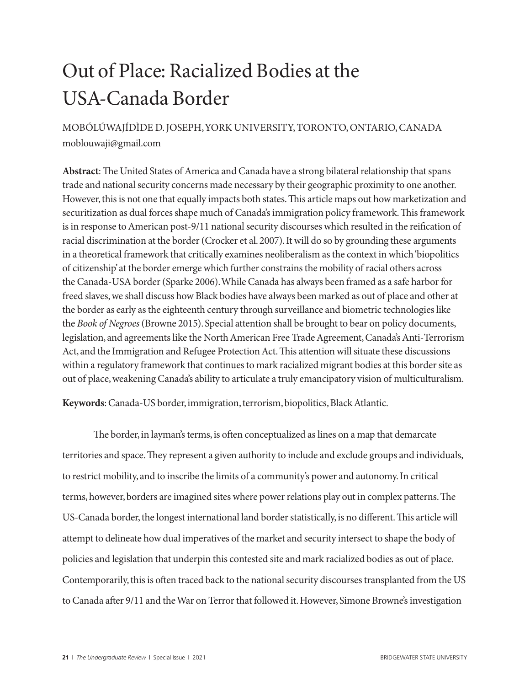## Out of Place: Racialized Bodies at the USA-Canada Border

MOBÓLÚWAJÍDÌDE D. JOSEPH, YORK UNIVERSITY, TORONTO, ONTARIO, CANADA moblouwaji@gmail.com

**Abstract**: The United States of America and Canada have a strong bilateral relationship that spans trade and national security concerns made necessary by their geographic proximity to one another. However, this is not one that equally impacts both states. This article maps out how marketization and securitization as dual forces shape much of Canada's immigration policy framework. This framework is in response to American post-9/11 national security discourses which resulted in the reification of racial discrimination at the border (Crocker et al. 2007). It will do so by grounding these arguments in a theoretical framework that critically examines neoliberalism as the context in which 'biopolitics of citizenship' at the border emerge which further constrains the mobility of racial others across the Canada-USA border (Sparke 2006). While Canada has always been framed as a safe harbor for freed slaves, we shall discuss how Black bodies have always been marked as out of place and other at the border as early as the eighteenth century through surveillance and biometric technologies like the *Book of Negroes* (Browne 2015). Special attention shall be brought to bear on policy documents, legislation, and agreements like the North American Free Trade Agreement, Canada's Anti-Terrorism Act, and the Immigration and Refugee Protection Act. This attention will situate these discussions within a regulatory framework that continues to mark racialized migrant bodies at this border site as out of place, weakening Canada's ability to articulate a truly emancipatory vision of multiculturalism.

**Keywords**: Canada-US border, immigration, terrorism, biopolitics, Black Atlantic.

The border, in layman's terms, is often conceptualized as lines on a map that demarcate territories and space. They represent a given authority to include and exclude groups and individuals, to restrict mobility, and to inscribe the limits of a community's power and autonomy. In critical terms, however, borders are imagined sites where power relations play out in complex patterns. The US-Canada border, the longest international land border statistically, is no different. This article will attempt to delineate how dual imperatives of the market and security intersect to shape the body of policies and legislation that underpin this contested site and mark racialized bodies as out of place. Contemporarily, this is often traced back to the national security discourses transplanted from the US to Canada after 9/11 and the War on Terror that followed it. However, Simone Browne's investigation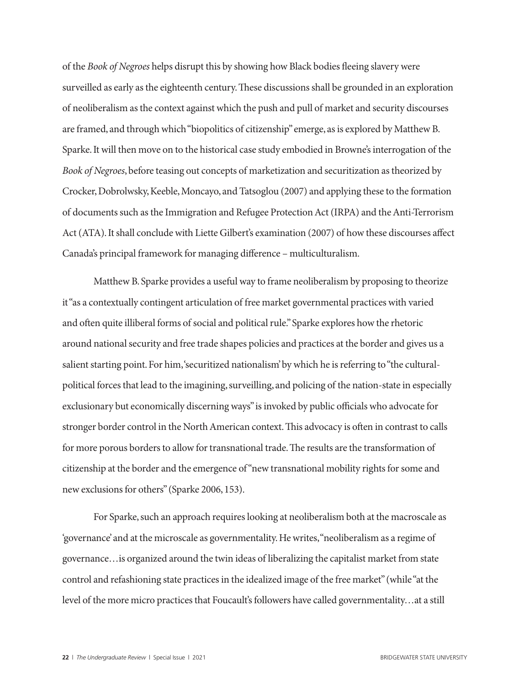of the *Book of Negroes* helps disrupt this by showing how Black bodies fleeing slavery were surveilled as early as the eighteenth century. These discussions shall be grounded in an exploration of neoliberalism as the context against which the push and pull of market and security discourses are framed, and through which "biopolitics of citizenship" emerge, as is explored by Matthew B. Sparke. It will then move on to the historical case study embodied in Browne's interrogation of the *Book of Negroes*, before teasing out concepts of marketization and securitization as theorized by Crocker, Dobrolwsky, Keeble, Moncayo, and Tatsoglou (2007) and applying these to the formation of documents such as the Immigration and Refugee Protection Act (IRPA) and the Anti-Terrorism Act (ATA). It shall conclude with Liette Gilbert's examination (2007) of how these discourses affect Canada's principal framework for managing difference – multiculturalism.

Matthew B. Sparke provides a useful way to frame neoliberalism by proposing to theorize it "as a contextually contingent articulation of free market governmental practices with varied and often quite illiberal forms of social and political rule." Sparke explores how the rhetoric around national security and free trade shapes policies and practices at the border and gives us a salient starting point. For him, 'securitized nationalism' by which he is referring to "the culturalpolitical forces that lead to the imagining, surveilling, and policing of the nation-state in especially exclusionary but economically discerning ways" is invoked by public officials who advocate for stronger border control in the North American context. This advocacy is often in contrast to calls for more porous borders to allow for transnational trade. The results are the transformation of citizenship at the border and the emergence of "new transnational mobility rights for some and new exclusions for others" (Sparke 2006, 153).

For Sparke, such an approach requires looking at neoliberalism both at the macroscale as 'governance' and at the microscale as governmentality. He writes, "neoliberalism as a regime of governance…is organized around the twin ideas of liberalizing the capitalist market from state control and refashioning state practices in the idealized image of the free market" (while "at the level of the more micro practices that Foucault's followers have called governmentality…at a still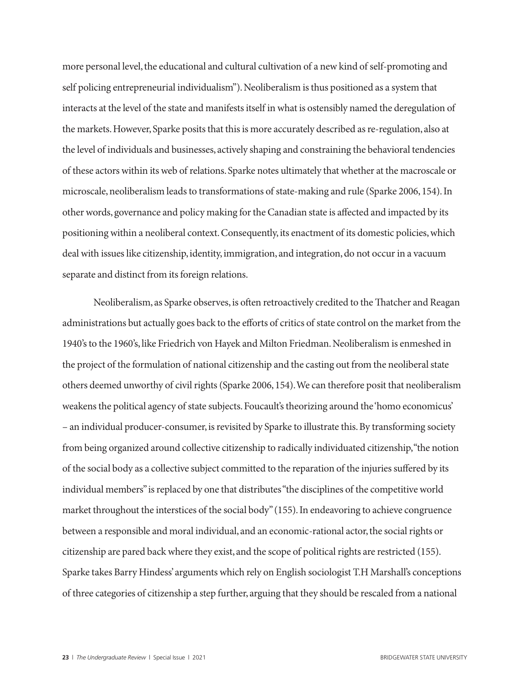more personal level, the educational and cultural cultivation of a new kind of self-promoting and self policing entrepreneurial individualism"). Neoliberalism is thus positioned as a system that interacts at the level of the state and manifests itself in what is ostensibly named the deregulation of the markets. However, Sparke posits that this is more accurately described as re-regulation, also at the level of individuals and businesses, actively shaping and constraining the behavioral tendencies of these actors within its web of relations. Sparke notes ultimately that whether at the macroscale or microscale, neoliberalism leads to transformations of state-making and rule (Sparke 2006, 154). In other words, governance and policy making for the Canadian state is affected and impacted by its positioning within a neoliberal context. Consequently, its enactment of its domestic policies, which deal with issues like citizenship, identity, immigration, and integration, do not occur in a vacuum separate and distinct from its foreign relations.

Neoliberalism, as Sparke observes, is often retroactively credited to the Thatcher and Reagan administrations but actually goes back to the efforts of critics of state control on the market from the 1940's to the 1960's, like Friedrich von Hayek and Milton Friedman. Neoliberalism is enmeshed in the project of the formulation of national citizenship and the casting out from the neoliberal state others deemed unworthy of civil rights (Sparke 2006, 154). We can therefore posit that neoliberalism weakens the political agency of state subjects. Foucault's theorizing around the 'homo economicus' – an individual producer-consumer, is revisited by Sparke to illustrate this. By transforming society from being organized around collective citizenship to radically individuated citizenship, "the notion of the social body as a collective subject committed to the reparation of the injuries suffered by its individual members" is replaced by one that distributes "the disciplines of the competitive world market throughout the interstices of the social body" (155). In endeavoring to achieve congruence between a responsible and moral individual, and an economic-rational actor, the social rights or citizenship are pared back where they exist, and the scope of political rights are restricted (155). Sparke takes Barry Hindess' arguments which rely on English sociologist T.H Marshall's conceptions of three categories of citizenship a step further, arguing that they should be rescaled from a national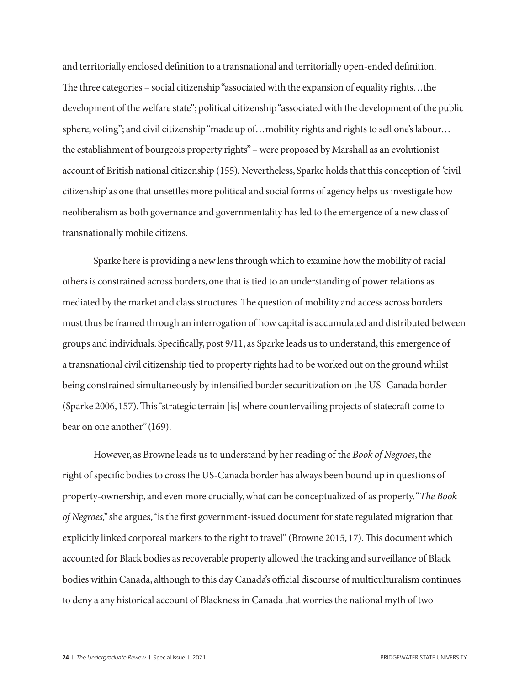and territorially enclosed definition to a transnational and territorially open-ended definition. The three categories – social citizenship "associated with the expansion of equality rights…the development of the welfare state"; political citizenship "associated with the development of the public sphere, voting"; and civil citizenship "made up of...mobility rights and rights to sell one's labour... the establishment of bourgeois property rights" – were proposed by Marshall as an evolutionist account of British national citizenship (155). Nevertheless, Sparke holds that this conception of 'civil citizenship' as one that unsettles more political and social forms of agency helps us investigate how neoliberalism as both governance and governmentality has led to the emergence of a new class of transnationally mobile citizens.

Sparke here is providing a new lens through which to examine how the mobility of racial others is constrained across borders, one that is tied to an understanding of power relations as mediated by the market and class structures. The question of mobility and access across borders must thus be framed through an interrogation of how capital is accumulated and distributed between groups and individuals. Specifically, post 9/11, as Sparke leads us to understand, this emergence of a transnational civil citizenship tied to property rights had to be worked out on the ground whilst being constrained simultaneously by intensified border securitization on the US- Canada border (Sparke 2006, 157). This "strategic terrain [is] where countervailing projects of statecraft come to bear on one another" (169).

However, as Browne leads us to understand by her reading of the *Book of Negroes*, the right of specific bodies to cross the US-Canada border has always been bound up in questions of property-ownership, and even more crucially, what can be conceptualized of as property. "*The Book of Negroes,*" she argues, "is the first government-issued document for state regulated migration that explicitly linked corporeal markers to the right to travel" (Browne 2015, 17). This document which accounted for Black bodies as recoverable property allowed the tracking and surveillance of Black bodies within Canada, although to this day Canada's official discourse of multiculturalism continues to deny a any historical account of Blackness in Canada that worries the national myth of two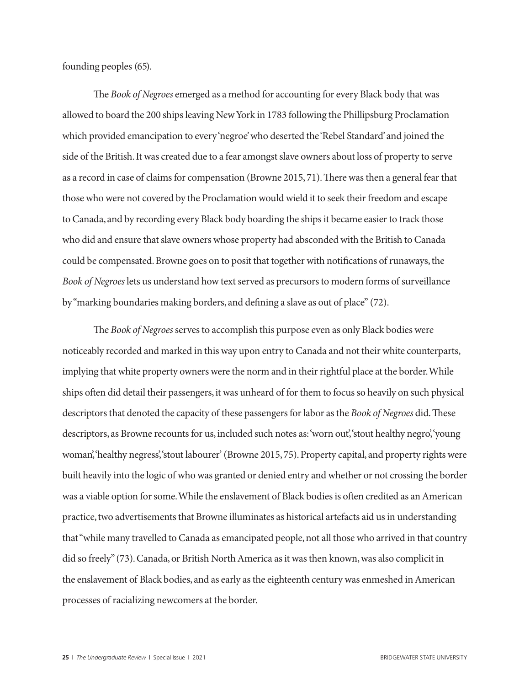founding peoples (65).

The *Book of Negroes* emerged as a method for accounting for every Black body that was allowed to board the 200 ships leaving New York in 1783 following the Phillipsburg Proclamation which provided emancipation to every 'negroe' who deserted the 'Rebel Standard' and joined the side of the British. It was created due to a fear amongst slave owners about loss of property to serve as a record in case of claims for compensation (Browne 2015, 71). There was then a general fear that those who were not covered by the Proclamation would wield it to seek their freedom and escape to Canada, and by recording every Black body boarding the ships it became easier to track those who did and ensure that slave owners whose property had absconded with the British to Canada could be compensated. Browne goes on to posit that together with notifications of runaways, the *Book of Negroes* lets us understand how text served as precursors to modern forms of surveillance by "marking boundaries making borders, and defining a slave as out of place" (72).

The *Book of Negroes* serves to accomplish this purpose even as only Black bodies were noticeably recorded and marked in this way upon entry to Canada and not their white counterparts, implying that white property owners were the norm and in their rightful place at the border. While ships often did detail their passengers, it was unheard of for them to focus so heavily on such physical descriptors that denoted the capacity of these passengers for labor as the *Book of Negroes* did. These descriptors, as Browne recounts for us, included such notes as: 'worn out', 'stout healthy negro', 'young' woman', 'healthy negress', 'stout labourer' (Browne 2015, 75). Property capital, and property rights were built heavily into the logic of who was granted or denied entry and whether or not crossing the border was a viable option for some. While the enslavement of Black bodies is often credited as an American practice, two advertisements that Browne illuminates as historical artefacts aid us in understanding that "while many travelled to Canada as emancipated people, not all those who arrived in that country did so freely" (73). Canada, or British North America as it was then known, was also complicit in the enslavement of Black bodies, and as early as the eighteenth century was enmeshed in American processes of racializing newcomers at the border.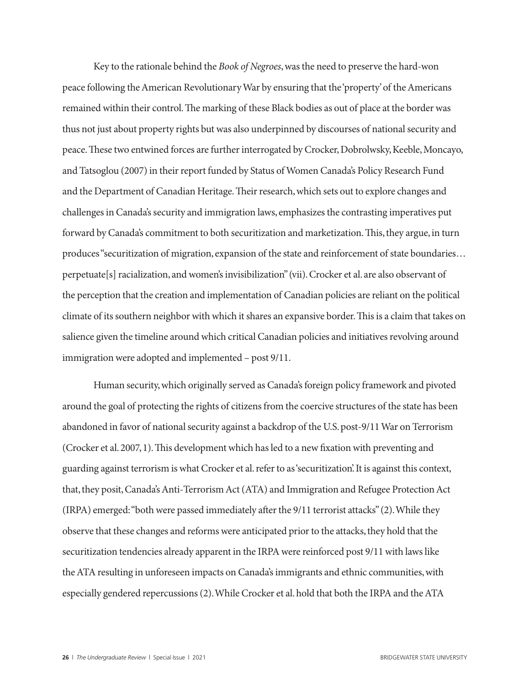Key to the rationale behind the *Book of Negroes*, was the need to preserve the hard-won peace following the American Revolutionary War by ensuring that the 'property' of the Americans remained within their control. The marking of these Black bodies as out of place at the border was thus not just about property rights but was also underpinned by discourses of national security and peace. These two entwined forces are further interrogated by Crocker, Dobrolwsky, Keeble, Moncayo, and Tatsoglou (2007) in their report funded by Status of Women Canada's Policy Research Fund and the Department of Canadian Heritage. Their research, which sets out to explore changes and challenges in Canada's security and immigration laws, emphasizes the contrasting imperatives put forward by Canada's commitment to both securitization and marketization. This, they argue, in turn produces "securitization of migration, expansion of the state and reinforcement of state boundaries… perpetuate[s] racialization, and women's invisibilization" (vii). Crocker et al. are also observant of the perception that the creation and implementation of Canadian policies are reliant on the political climate of its southern neighbor with which it shares an expansive border. This is a claim that takes on salience given the timeline around which critical Canadian policies and initiatives revolving around immigration were adopted and implemented – post 9/11.

Human security, which originally served as Canada's foreign policy framework and pivoted around the goal of protecting the rights of citizens from the coercive structures of the state has been abandoned in favor of national security against a backdrop of the U.S. post-9/11 War on Terrorism (Crocker et al. 2007, 1). This development which has led to a new fixation with preventing and guarding against terrorism is what Crocker et al. refer to as 'securitization'. It is against this context, that, they posit, Canada's Anti-Terrorism Act (ATA) and Immigration and Refugee Protection Act (IRPA) emerged: "both were passed immediately after the 9/11 terrorist attacks" (2). While they observe that these changes and reforms were anticipated prior to the attacks, they hold that the securitization tendencies already apparent in the IRPA were reinforced post 9/11 with laws like the ATA resulting in unforeseen impacts on Canada's immigrants and ethnic communities, with especially gendered repercussions (2). While Crocker et al. hold that both the IRPA and the ATA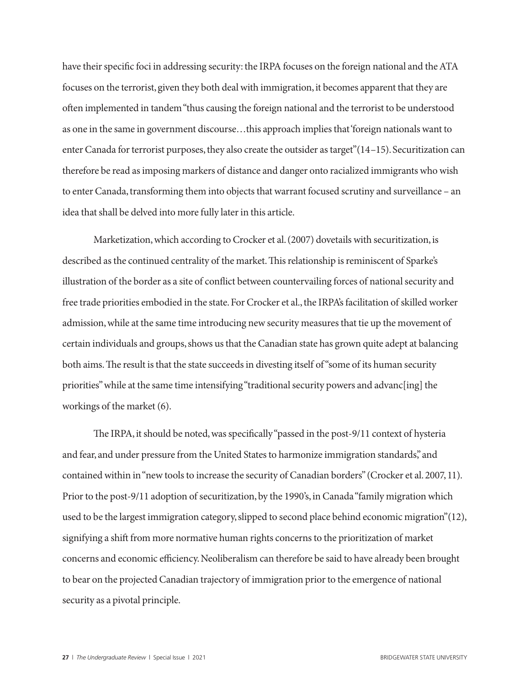have their specific foci in addressing security: the IRPA focuses on the foreign national and the ATA focuses on the terrorist, given they both deal with immigration, it becomes apparent that they are often implemented in tandem "thus causing the foreign national and the terrorist to be understood as one in the same in government discourse…this approach implies that 'foreign nationals want to enter Canada for terrorist purposes, they also create the outsider as target"(14–15). Securitization can therefore be read as imposing markers of distance and danger onto racialized immigrants who wish to enter Canada, transforming them into objects that warrant focused scrutiny and surveillance – an idea that shall be delved into more fully later in this article.

Marketization, which according to Crocker et al. (2007) dovetails with securitization, is described as the continued centrality of the market. This relationship is reminiscent of Sparke's illustration of the border as a site of conflict between countervailing forces of national security and free trade priorities embodied in the state. For Crocker et al., the IRPA's facilitation of skilled worker admission, while at the same time introducing new security measures that tie up the movement of certain individuals and groups, shows us that the Canadian state has grown quite adept at balancing both aims. The result is that the state succeeds in divesting itself of "some of its human security priorities" while at the same time intensifying "traditional security powers and advancling] the workings of the market (6).

The IRPA, it should be noted, was specifically "passed in the post-9/11 context of hysteria and fear, and under pressure from the United States to harmonize immigration standards," and contained within in "new tools to increase the security of Canadian borders" (Crocker et al. 2007, 11). Prior to the post-9/11 adoption of securitization, by the 1990's, in Canada "family migration which used to be the largest immigration category, slipped to second place behind economic migration"(12), signifying a shift from more normative human rights concerns to the prioritization of market concerns and economic efficiency. Neoliberalism can therefore be said to have already been brought to bear on the projected Canadian trajectory of immigration prior to the emergence of national security as a pivotal principle.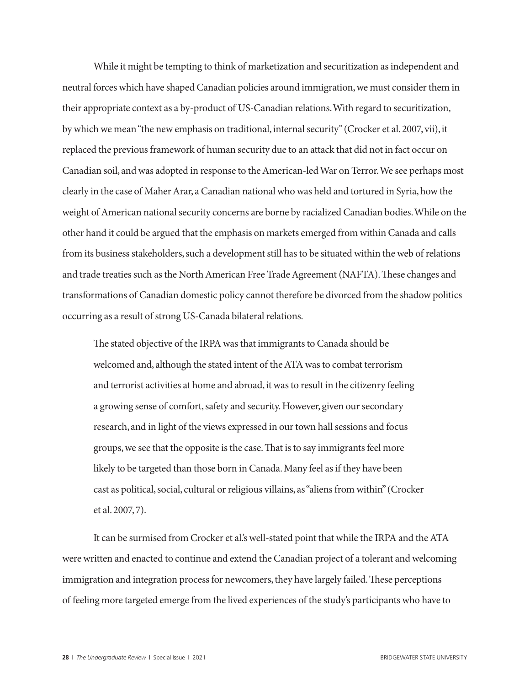While it might be tempting to think of marketization and securitization as independent and neutral forces which have shaped Canadian policies around immigration, we must consider them in their appropriate context as a by-product of US-Canadian relations. With regard to securitization, by which we mean "the new emphasis on traditional, internal security" (Crocker et al. 2007, vii), it replaced the previous framework of human security due to an attack that did not in fact occur on Canadian soil, and was adopted in response to the American-led War on Terror. We see perhaps most clearly in the case of Maher Arar, a Canadian national who was held and tortured in Syria, how the weight of American national security concerns are borne by racialized Canadian bodies. While on the other hand it could be argued that the emphasis on markets emerged from within Canada and calls from its business stakeholders, such a development still has to be situated within the web of relations and trade treaties such as the North American Free Trade Agreement (NAFTA). These changes and transformations of Canadian domestic policy cannot therefore be divorced from the shadow politics occurring as a result of strong US-Canada bilateral relations.

The stated objective of the IRPA was that immigrants to Canada should be welcomed and, although the stated intent of the ATA was to combat terrorism and terrorist activities at home and abroad, it was to result in the citizenry feeling a growing sense of comfort, safety and security. However, given our secondary research, and in light of the views expressed in our town hall sessions and focus groups, we see that the opposite is the case. That is to say immigrants feel more likely to be targeted than those born in Canada. Many feel as if they have been cast as political, social, cultural or religious villains, as "aliens from within" (Crocker et al. 2007, 7).

It can be surmised from Crocker et al.'s well-stated point that while the IRPA and the ATA were written and enacted to continue and extend the Canadian project of a tolerant and welcoming immigration and integration process for newcomers, they have largely failed. These perceptions of feeling more targeted emerge from the lived experiences of the study's participants who have to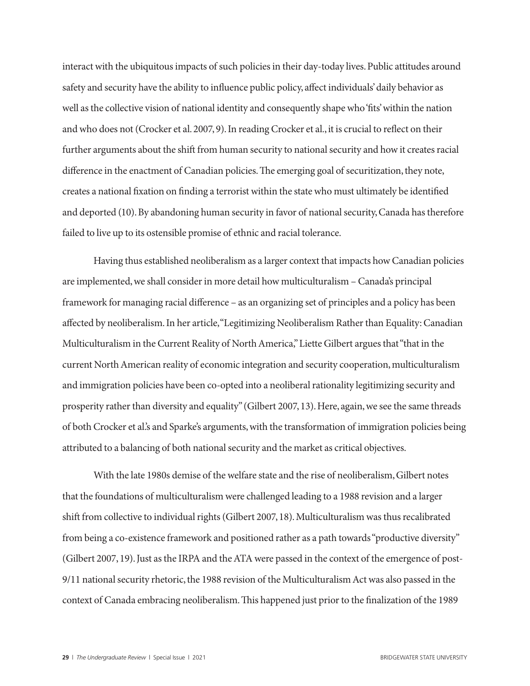interact with the ubiquitous impacts of such policies in their day-today lives. Public attitudes around safety and security have the ability to influence public policy, affect individuals' daily behavior as well as the collective vision of national identity and consequently shape who 'fits' within the nation and who does not (Crocker et al. 2007, 9). In reading Crocker et al., it is crucial to reflect on their further arguments about the shift from human security to national security and how it creates racial difference in the enactment of Canadian policies. The emerging goal of securitization, they note, creates a national fixation on finding a terrorist within the state who must ultimately be identified and deported (10). By abandoning human security in favor of national security, Canada has therefore failed to live up to its ostensible promise of ethnic and racial tolerance.

Having thus established neoliberalism as a larger context that impacts how Canadian policies are implemented, we shall consider in more detail how multiculturalism – Canada's principal framework for managing racial difference – as an organizing set of principles and a policy has been affected by neoliberalism. In her article, "Legitimizing Neoliberalism Rather than Equality: Canadian Multiculturalism in the Current Reality of North America," Liette Gilbert argues that "that in the current North American reality of economic integration and security cooperation, multiculturalism and immigration policies have been co-opted into a neoliberal rationality legitimizing security and prosperity rather than diversity and equality" (Gilbert 2007, 13). Here, again, we see the same threads of both Crocker et al.'s and Sparke's arguments, with the transformation of immigration policies being attributed to a balancing of both national security and the market as critical objectives.

With the late 1980s demise of the welfare state and the rise of neoliberalism, Gilbert notes that the foundations of multiculturalism were challenged leading to a 1988 revision and a larger shift from collective to individual rights (Gilbert 2007, 18). Multiculturalism was thus recalibrated from being a co-existence framework and positioned rather as a path towards "productive diversity" (Gilbert 2007, 19). Just as the IRPA and the ATA were passed in the context of the emergence of post-9/11 national security rhetoric, the 1988 revision of the Multiculturalism Act was also passed in the context of Canada embracing neoliberalism. This happened just prior to the finalization of the 1989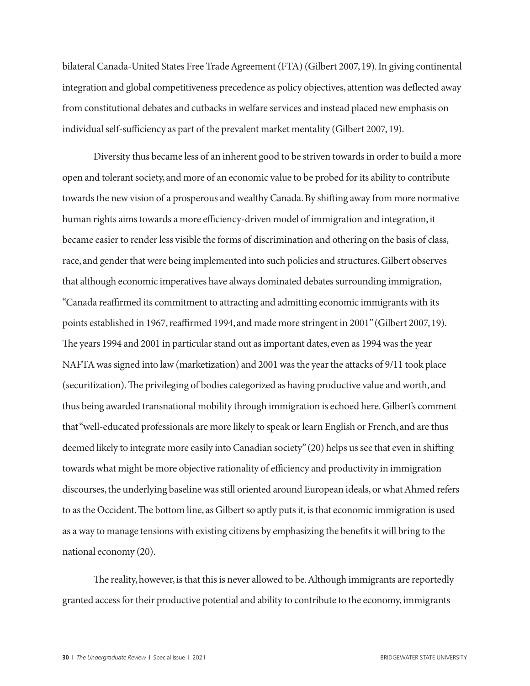bilateral Canada-United States Free Trade Agreement (FTA) (Gilbert 2007, 19). In giving continental integration and global competitiveness precedence as policy objectives, attention was deflected away from constitutional debates and cutbacks in welfare services and instead placed new emphasis on individual self-sufficiency as part of the prevalent market mentality (Gilbert 2007, 19).

Diversity thus became less of an inherent good to be striven towards in order to build a more open and tolerant society, and more of an economic value to be probed for its ability to contribute towards the new vision of a prosperous and wealthy Canada. By shifting away from more normative human rights aims towards a more efficiency-driven model of immigration and integration, it became easier to render less visible the forms of discrimination and othering on the basis of class, race, and gender that were being implemented into such policies and structures. Gilbert observes that although economic imperatives have always dominated debates surrounding immigration, "Canada reaffirmed its commitment to attracting and admitting economic immigrants with its points established in 1967, reaffirmed 1994, and made more stringent in 2001" (Gilbert 2007, 19). The years 1994 and 2001 in particular stand out as important dates, even as 1994 was the year NAFTA was signed into law (marketization) and 2001 was the year the attacks of 9/11 took place (securitization). The privileging of bodies categorized as having productive value and worth, and thus being awarded transnational mobility through immigration is echoed here. Gilbert's comment that "well-educated professionals are more likely to speak or learn English or French, and are thus deemed likely to integrate more easily into Canadian society" (20) helps us see that even in shifting towards what might be more objective rationality of efficiency and productivity in immigration discourses, the underlying baseline was still oriented around European ideals, or what Ahmed refers to as the Occident. The bottom line, as Gilbert so aptly puts it, is that economic immigration is used as a way to manage tensions with existing citizens by emphasizing the benefits it will bring to the national economy (20).

The reality, however, is that this is never allowed to be. Although immigrants are reportedly granted access for their productive potential and ability to contribute to the economy, immigrants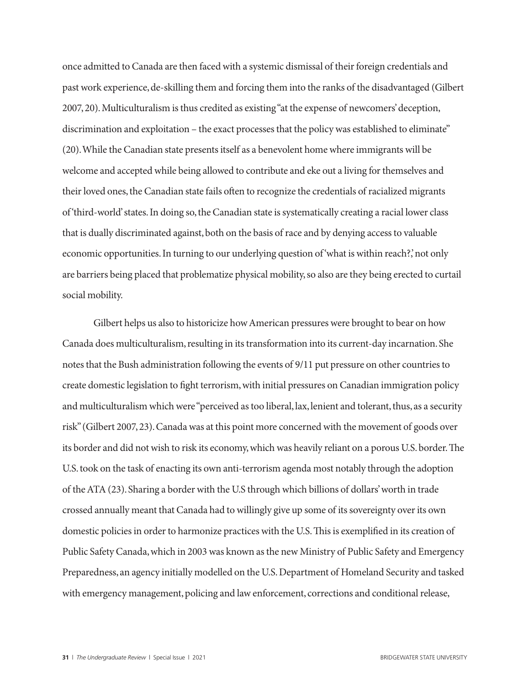once admitted to Canada are then faced with a systemic dismissal of their foreign credentials and past work experience, de-skilling them and forcing them into the ranks of the disadvantaged (Gilbert 2007, 20). Multiculturalism is thus credited as existing "at the expense of newcomers' deception, discrimination and exploitation – the exact processes that the policy was established to eliminate" (20). While the Canadian state presents itself as a benevolent home where immigrants will be welcome and accepted while being allowed to contribute and eke out a living for themselves and their loved ones, the Canadian state fails often to recognize the credentials of racialized migrants of 'third-world' states. In doing so, the Canadian state is systematically creating a racial lower class that is dually discriminated against, both on the basis of race and by denying access to valuable economic opportunities. In turning to our underlying question of 'what is within reach?,' not only are barriers being placed that problematize physical mobility, so also are they being erected to curtail social mobility.

Gilbert helps us also to historicize how American pressures were brought to bear on how Canada does multiculturalism, resulting in its transformation into its current-day incarnation. She notes that the Bush administration following the events of 9/11 put pressure on other countries to create domestic legislation to fight terrorism, with initial pressures on Canadian immigration policy and multiculturalism which were "perceived as too liberal, lax, lenient and tolerant, thus, as a security risk" (Gilbert 2007, 23). Canada was at this point more concerned with the movement of goods over its border and did not wish to risk its economy, which was heavily reliant on a porous U.S. border. The U.S. took on the task of enacting its own anti-terrorism agenda most notably through the adoption of the ATA (23). Sharing a border with the U.S through which billions of dollars' worth in trade crossed annually meant that Canada had to willingly give up some of its sovereignty over its own domestic policies in order to harmonize practices with the U.S. This is exemplified in its creation of Public Safety Canada, which in 2003 was known as the new Ministry of Public Safety and Emergency Preparedness, an agency initially modelled on the U.S. Department of Homeland Security and tasked with emergency management, policing and law enforcement, corrections and conditional release,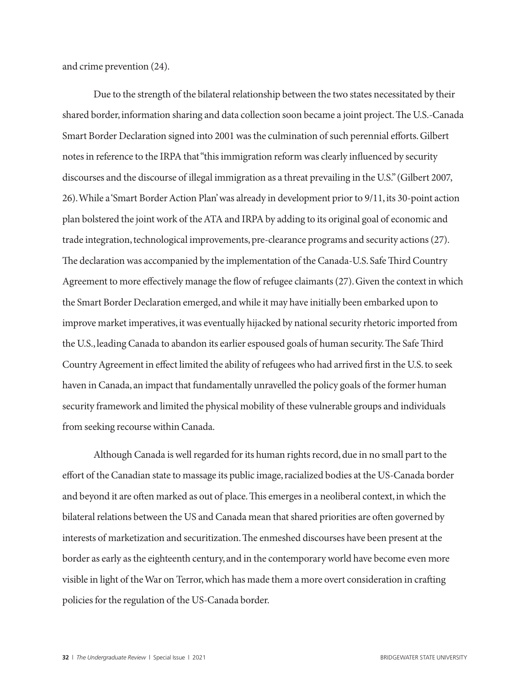and crime prevention (24).

Due to the strength of the bilateral relationship between the two states necessitated by their shared border, information sharing and data collection soon became a joint project. The U.S.-Canada Smart Border Declaration signed into 2001 was the culmination of such perennial efforts. Gilbert notes in reference to the IRPA that "this immigration reform was clearly influenced by security discourses and the discourse of illegal immigration as a threat prevailing in the U.S." (Gilbert 2007, 26). While a 'Smart Border Action Plan' was already in development prior to 9/11, its 30-point action plan bolstered the joint work of the ATA and IRPA by adding to its original goal of economic and trade integration, technological improvements, pre-clearance programs and security actions (27). The declaration was accompanied by the implementation of the Canada-U.S. Safe Third Country Agreement to more effectively manage the flow of refugee claimants (27). Given the context in which the Smart Border Declaration emerged, and while it may have initially been embarked upon to improve market imperatives, it was eventually hijacked by national security rhetoric imported from the U.S., leading Canada to abandon its earlier espoused goals of human security. The Safe Third Country Agreement in effect limited the ability of refugees who had arrived first in the U.S. to seek haven in Canada, an impact that fundamentally unravelled the policy goals of the former human security framework and limited the physical mobility of these vulnerable groups and individuals from seeking recourse within Canada.

Although Canada is well regarded for its human rights record, due in no small part to the effort of the Canadian state to massage its public image, racialized bodies at the US-Canada border and beyond it are often marked as out of place. This emerges in a neoliberal context, in which the bilateral relations between the US and Canada mean that shared priorities are often governed by interests of marketization and securitization. The enmeshed discourses have been present at the border as early as the eighteenth century, and in the contemporary world have become even more visible in light of the War on Terror, which has made them a more overt consideration in crafting policies for the regulation of the US-Canada border.